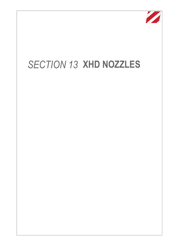

## *SECTION 13* **XHD NOZZLES**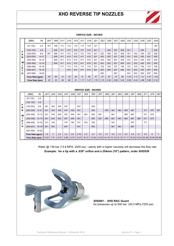## **XHD REVERSE TIP NOZZLES**



|   | <b>ORIFICE SIZE - INCHES</b> |           |     |      |      |      |      |      |      |      |      |      |      |      |      |      |      |      |      |
|---|------------------------------|-----------|-----|------|------|------|------|------|------|------|------|------|------|------|------|------|------|------|------|
|   | (MM)                         | IN        | 007 | .009 | .011 | .013 | .015 | .017 | .019 | .021 | .023 | 025  | .027 | .029 | 031  | .033 | 035  | .037 | .039 |
|   | $(51-102)$                   | $2 - 4$   | 107 | 109  | 111  | 113  | 115  | 117  | 119  | 121  |      |      |      |      |      |      |      |      | 139  |
| F | $(102 - 152)$                | $4 - 6$   |     | 209  | 211  | 213  | 215  | 217  | 219  | 221  |      | 225  | 227  | 229  | 231  |      | 235  |      | 239  |
| А | $(152 - 203)$                | $6 - 8$   | 307 | 309  | 311  | 313  | 315  | 317  | 319  | 321  | 323  | 325  | 327  | 329  | 331  | 333  | 335  | 337  | 339  |
| N | $(203 - 254)$                | $8 - 10$  |     | 409  | 411  | 413  | 415  | 417  | 419  | 421  | 423  | 425  | 427  | 429  | 431  | 433  | 435  | 437  | 439  |
|   | $(254 - 305)$                | $10 - 12$ |     | 509  | 511  | 513  | 515  | 517  | 519  | 521  | 523  | 525  | 527  | 529  | 531  | 533  | 535  | 537  | 539  |
| W | $(305 - 356)$                | $12 - 14$ |     | 609  | 611  | 613  | 615  | 617  | 619  | 621  | 623  | 625  | 627  | 629  | 631  | 633  | 635  | 637  | 639  |
| D | (356-406)                    | 14-16     |     |      | 711  | 713  | 715  | 717  | 719  | 721  | 723  | 725  | 727  | 729  | 731  | 733  | 735  | 737  | 739  |
| н | $(406 - 457)$                | $16 - 18$ |     |      |      | 813  | 815  | 817  | 819  | 821  | 823  | 825  | 827  | 829  | 831  | 833  | 835  | 837  | 839  |
|   | $(457 - 508)$                | 18-20     |     |      |      |      |      |      |      |      | 923  |      | 927  |      | 931  | 933  | 935  | 937  | 939  |
|   | Flow Rate (gpm)              |           | .05 | .09  | .12  | .18  | .24  | .31  | .38  | .47  | .57  | .67  | .74  | .90  | 1.03 | 1.17 | 1.31 | 1.47 | 1.63 |
|   | Flow Rate (Ipm)              |           | .20 | .33  | .49  | .69  | .91  | 1.17 | 1.47 | 1.79 | 2.15 | 2.54 | 2.96 | 3.42 | 3.90 | 4.42 | 4.98 | 5.56 | 6.18 |

## **ORIFICE SIZE - INCHES**

| F<br>A<br>N<br>W<br>D<br>н | (MM)            | IN        | .041 | 043            | .045 | .047 | .049 | .051  | .053  | .055  | .057  | .059  | .061 | .063 | .065                    | 067 | .069 | .071 | .075                          | .081 |
|----------------------------|-----------------|-----------|------|----------------|------|------|------|-------|-------|-------|-------|-------|------|------|-------------------------|-----|------|------|-------------------------------|------|
|                            | $(51-102)$      | $2 - 4$   |      |                |      |      |      |       |       |       |       |       |      |      |                         |     |      |      |                               |      |
|                            | $(102 - 152)$   | $4-6$     |      |                |      |      |      |       |       |       |       |       |      |      |                         |     |      |      |                               |      |
|                            | $(152 - 203)$   | $6 - 8$   | 341  | 343            | 345  | 347  |      | 351   |       | 355   |       |       |      |      |                         |     |      |      |                               |      |
|                            | $(203 - 254)$   | $8 - 10$  | 441  | 443            | 445  | 447  | 449  | 451   |       | 455   |       | 459   | 461  | 463  | 465                     | 467 |      | 471  | 475                           | 481  |
|                            | $(254-305)$     | $10 - 12$ | 541  | 543            | 545  | 547  | 549  | 551   | 553   | 555   | 557   |       | 561  |      | 565                     | 567 |      | 571  | 575                           |      |
|                            | $(305 - 356)$   | $12 - 14$ | 641  | 643            | 645  | 647  | 649  | 651   |       | 655   | 657   | 659   | 661  | 663  | 665                     | 667 | 669  | 671  | 675                           |      |
|                            | $(356-406)$     | 14-16     | 741  | 743            |      | 747  | 749  | 751   | 753   | 755   |       |       | 761  |      |                         | 767 |      | 771  |                               |      |
|                            | $(406 - 457)$   | $16-18$   | 841  | 843            |      | 847  |      | 851   |       | 855   |       |       | 861  | 863  |                         | 867 |      |      |                               |      |
|                            | $(457-508)$     | 18-20     |      |                |      |      |      |       |       |       |       |       |      |      |                         |     |      |      |                               |      |
|                            | Flow Rate (gpm) |           | 1.8  | $\overline{2}$ | 2.2  | 2.4  | 2.6  | 2.79  | 4.3   | 3.3   | 3.5   | 3.7   | 4.0  | 4.3  | 4.5                     | 4.8 | 5.1  | 5.4  | 6                             |      |
|                            | Flow Rate (Ipm) |           | 6.83 | 7.51           | 8.23 | 8.98 | 9.76 | 10.57 | 16.13 | 12.29 | 13.20 | 14.14 |      |      | 15.12 16.13 17.17 18.24 |     |      |      | 19.34   20.48   22.85   26.66 |      |

Water @ 138 bar (13.8 MPA, 2000 psi) - paints with a higher viscosity will decrease the flow rate **Example: for a tip with a .039" orifice and a 254mm (10") pattern, order XHD539** 



 **XHD001 - XHD RAC Guard**  for pressures up to 500 bar (50.0 MPa,7250 psi)